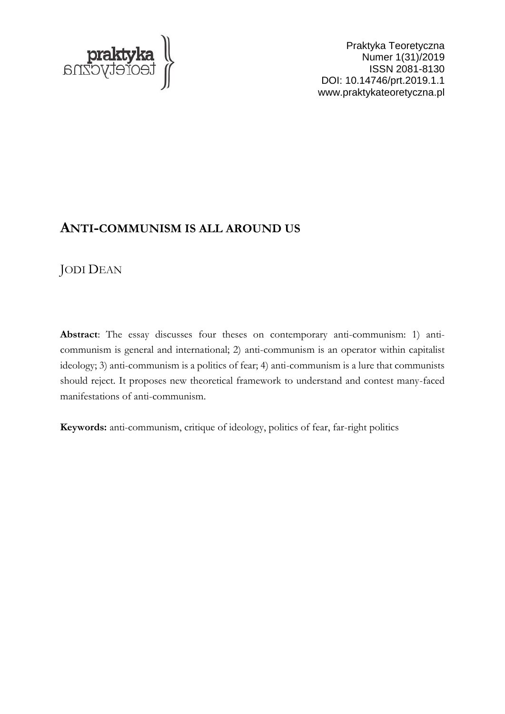

Praktyka Teoretyczna Numer 1(31)/2019 ISSN 2081-8130 DOI: 10.14746/prt.2019.1.1 www.praktykateoretyczna.pl

# **ANTI-COMMUNISM IS ALL AROUND US**

# JODI DEAN

**Abstract**: The essay discusses four theses on contemporary anti-communism: 1) anticommunism is general and international; 2) anti-communism is an operator within capitalist ideology; 3) anti-communism is a politics of fear; 4) anti-communism is a lure that communists should reject. It proposes new theoretical framework to understand and contest many-faced manifestations of anti-communism.

**Keywords:** anti-communism, critique of ideology, politics of fear, far-right politics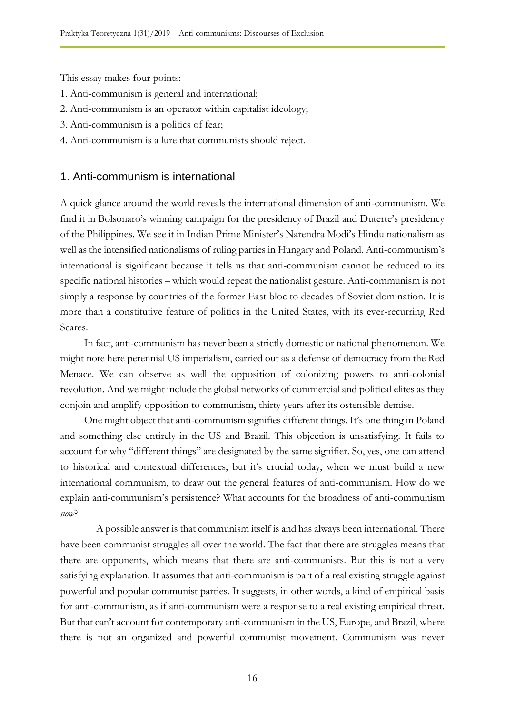This essay makes four points:

- 1. Anti-communism is general and international;
- 2. Anti-communism is an operator within capitalist ideology;
- 3. Anti-communism is a politics of fear;
- 4. Anti-communism is a lure that communists should reject.

## 1. Anti-communism is international

A quick glance around the world reveals the international dimension of anti-communism. We find it in Bolsonaro's winning campaign for the presidency of Brazil and Duterte's presidency of the Philippines. We see it in Indian Prime Minister's Narendra Modi's Hindu nationalism as well as the intensified nationalisms of ruling parties in Hungary and Poland. Anti-communism's international is significant because it tells us that anti-communism cannot be reduced to its specific national histories – which would repeat the nationalist gesture. Anti-communism is not simply a response by countries of the former East bloc to decades of Soviet domination. It is more than a constitutive feature of politics in the United States, with its ever-recurring Red Scares.

In fact, anti-communism has never been a strictly domestic or national phenomenon. We might note here perennial US imperialism, carried out as a defense of democracy from the Red Menace. We can observe as well the opposition of colonizing powers to anti-colonial revolution. And we might include the global networks of commercial and political elites as they conjoin and amplify opposition to communism, thirty years after its ostensible demise.

One might object that anti-communism signifies different things. It's one thing in Poland and something else entirely in the US and Brazil. This objection is unsatisfying. It fails to account for why "different things" are designated by the same signifier. So, yes, one can attend to historical and contextual differences, but it's crucial today, when we must build a new international communism, to draw out the general features of anti-communism. How do we explain anti-communism's persistence? What accounts for the broadness of anti-communism *now*?

A possible answer is that communism itself is and has always been international. There have been communist struggles all over the world. The fact that there are struggles means that there are opponents, which means that there are anti-communists. But this is not a very satisfying explanation. It assumes that anti-communism is part of a real existing struggle against powerful and popular communist parties. It suggests, in other words, a kind of empirical basis for anti-communism, as if anti-communism were a response to a real existing empirical threat. But that can't account for contemporary anti-communism in the US, Europe, and Brazil, where there is not an organized and powerful communist movement. Communism was never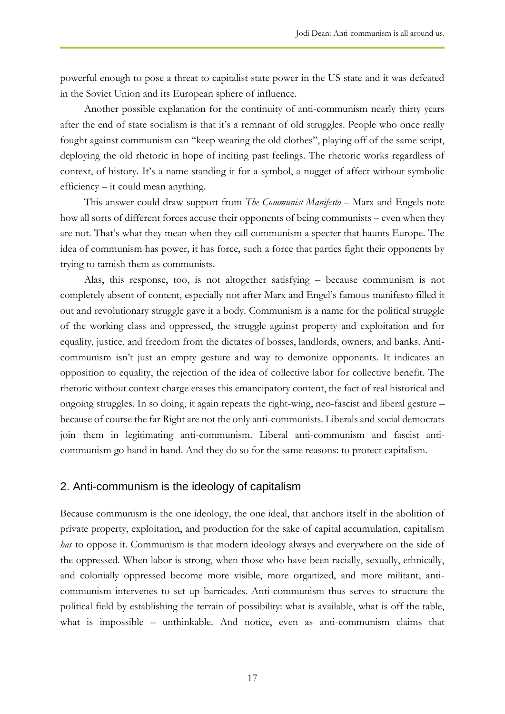powerful enough to pose a threat to capitalist state power in the US state and it was defeated in the Soviet Union and its European sphere of influence.

Another possible explanation for the continuity of anti-communism nearly thirty years after the end of state socialism is that it's a remnant of old struggles. People who once really fought against communism can "keep wearing the old clothes", playing off of the same script, deploying the old rhetoric in hope of inciting past feelings. The rhetoric works regardless of context, of history. It's a name standing it for a symbol, a nugget of affect without symbolic efficiency – it could mean anything.

This answer could draw support from *The Communist Manifesto* – Marx and Engels note how all sorts of different forces accuse their opponents of being communists – even when they are not. That's what they mean when they call communism a specter that haunts Europe. The idea of communism has power, it has force, such a force that parties fight their opponents by trying to tarnish them as communists.

Alas, this response, too, is not altogether satisfying – because communism is not completely absent of content, especially not after Marx and Engel's famous manifesto filled it out and revolutionary struggle gave it a body. Communism is a name for the political struggle of the working class and oppressed, the struggle against property and exploitation and for equality, justice, and freedom from the dictates of bosses, landlords, owners, and banks. Anticommunism isn't just an empty gesture and way to demonize opponents. It indicates an opposition to equality, the rejection of the idea of collective labor for collective benefit. The rhetoric without context charge erases this emancipatory content, the fact of real historical and ongoing struggles. In so doing, it again repeats the right-wing, neo-fascist and liberal gesture – because of course the far Right are not the only anti-communists. Liberals and social democrats join them in legitimating anti-communism. Liberal anti-communism and fascist anticommunism go hand in hand. And they do so for the same reasons: to protect capitalism.

#### 2. Anti-communism is the ideology of capitalism

Because communism is the one ideology, the one ideal, that anchors itself in the abolition of private property, exploitation, and production for the sake of capital accumulation, capitalism *has* to oppose it. Communism is that modern ideology always and everywhere on the side of the oppressed. When labor is strong, when those who have been racially, sexually, ethnically, and colonially oppressed become more visible, more organized, and more militant, anticommunism intervenes to set up barricades. Anti-communism thus serves to structure the political field by establishing the terrain of possibility: what is available, what is off the table, what is impossible – unthinkable. And notice, even as anti-communism claims that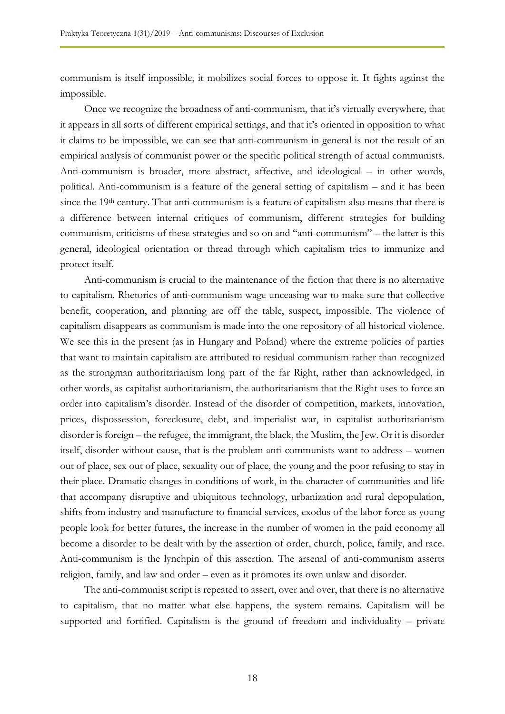communism is itself impossible, it mobilizes social forces to oppose it. It fights against the impossible.

Once we recognize the broadness of anti-communism, that it's virtually everywhere, that it appears in all sorts of different empirical settings, and that it's oriented in opposition to what it claims to be impossible, we can see that anti-communism in general is not the result of an empirical analysis of communist power or the specific political strength of actual communists. Anti-communism is broader, more abstract, affective, and ideological – in other words, political. Anti-communism is a feature of the general setting of capitalism – and it has been since the 19<sup>th</sup> century. That anti-communism is a feature of capitalism also means that there is a difference between internal critiques of communism, different strategies for building communism, criticisms of these strategies and so on and "anti-communism" – the latter is this general, ideological orientation or thread through which capitalism tries to immunize and protect itself.

Anti-communism is crucial to the maintenance of the fiction that there is no alternative to capitalism. Rhetorics of anti-communism wage unceasing war to make sure that collective benefit, cooperation, and planning are off the table, suspect, impossible. The violence of capitalism disappears as communism is made into the one repository of all historical violence. We see this in the present (as in Hungary and Poland) where the extreme policies of parties that want to maintain capitalism are attributed to residual communism rather than recognized as the strongman authoritarianism long part of the far Right, rather than acknowledged, in other words, as capitalist authoritarianism, the authoritarianism that the Right uses to force an order into capitalism's disorder. Instead of the disorder of competition, markets, innovation, prices, dispossession, foreclosure, debt, and imperialist war, in capitalist authoritarianism disorder is foreign – the refugee, the immigrant, the black, the Muslim, the Jew. Or it is disorder itself, disorder without cause, that is the problem anti-communists want to address – women out of place, sex out of place, sexuality out of place, the young and the poor refusing to stay in their place. Dramatic changes in conditions of work, in the character of communities and life that accompany disruptive and ubiquitous technology, urbanization and rural depopulation, shifts from industry and manufacture to financial services, exodus of the labor force as young people look for better futures, the increase in the number of women in the paid economy all become a disorder to be dealt with by the assertion of order, church, police, family, and race. Anti-communism is the lynchpin of this assertion. The arsenal of anti-communism asserts religion, family, and law and order – even as it promotes its own unlaw and disorder.

The anti-communist script is repeated to assert, over and over, that there is no alternative to capitalism, that no matter what else happens, the system remains. Capitalism will be supported and fortified. Capitalism is the ground of freedom and individuality – private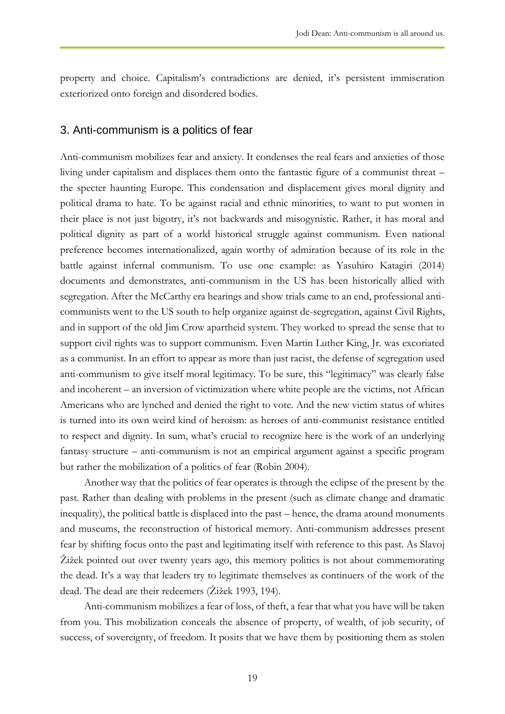property and choice. Capitalism's contradictions are denied, it's persistent immiseration exteriorized onto foreign and disordered bodies.

#### 3. Anti-communism is a politics of fear

Anti-communism mobilizes fear and anxiety. It condenses the real fears and anxieties of those living under capitalism and displaces them onto the fantastic figure of a communist threat – the specter haunting Europe. This condensation and displacement gives moral dignity and political drama to hate. To be against racial and ethnic minorities, to want to put women in their place is not just bigotry, it's not backwards and misogynistic. Rather, it has moral and political dignity as part of a world historical struggle against communism. Even national preference becomes internationalized, again worthy of admiration because of its role in the battle against infernal communism. To use one example: as Yasuhiro Katagiri (2014) documents and demonstrates, anti-communism in the US has been historically allied with segregation. After the McCarthy era hearings and show trials came to an end, professional anticommunists went to the US south to help organize against de-segregation, against Civil Rights, and in support of the old Jim Crow apartheid system. They worked to spread the sense that to support civil rights was to support communism. Even Martin Luther King, Jr. was excoriated as a communist. In an effort to appear as more than just racist, the defense of segregation used anti-communism to give itself moral legitimacy. To be sure, this "legitimacy" was clearly false and incoherent – an inversion of victimization where white people are the victims, not African Americans who are lynched and denied the right to vote. And the new victim status of whites is turned into its own weird kind of heroism: as heroes of anti-communist resistance entitled to respect and dignity. In sum, what's crucial to recognize here is the work of an underlying fantasy structure – anti-communism is not an empirical argument against a specific program but rather the mobilization of a politics of fear (Robin 2004).

Another way that the politics of fear operates is through the eclipse of the present by the past. Rather than dealing with problems in the present (such as climate change and dramatic inequality), the political battle is displaced into the past – hence, the drama around monuments and museums, the reconstruction of historical memory. Anti-communism addresses present fear by shifting focus onto the past and legitimating itself with reference to this past. As Slavoj Žižek pointed out over twenty years ago, this memory politics is not about commemorating the dead. It's a way that leaders try to legitimate themselves as continuers of the work of the dead. The dead are their redeemers (Žižek 1993, 194).

Anti-communism mobilizes a fear of loss, of theft, a fear that what you have will be taken from you. This mobilization conceals the absence of property, of wealth, of job security, of success, of sovereignty, of freedom. It posits that we have them by positioning them as stolen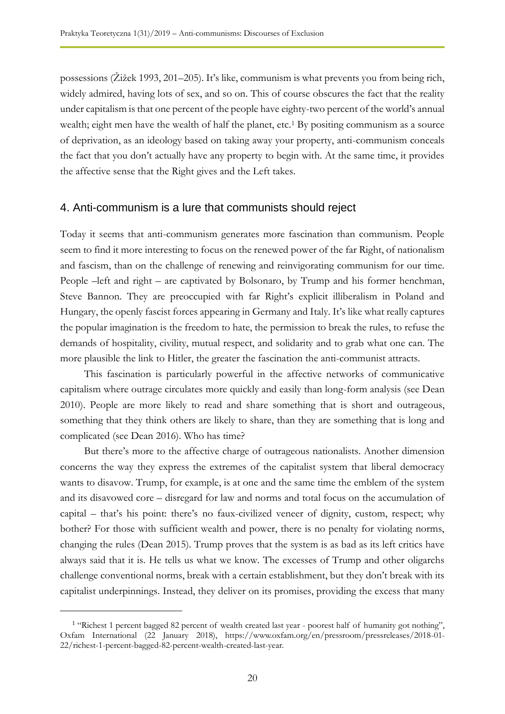possessions (Žižek 1993, 201–205). It's like, communism is what prevents you from being rich, widely admired, having lots of sex, and so on. This of course obscures the fact that the reality under capitalism is that one percent of the people have eighty-two percent of the world's annual wealth; eight men have the wealth of half the planet, etc.<sup>1</sup> By positing communism as a source of deprivation, as an ideology based on taking away your property, anti-communism conceals the fact that you don't actually have any property to begin with. At the same time, it provides the affective sense that the Right gives and the Left takes.

#### 4. Anti-communism is a lure that communists should reject

Today it seems that anti-communism generates more fascination than communism. People seem to find it more interesting to focus on the renewed power of the far Right, of nationalism and fascism, than on the challenge of renewing and reinvigorating communism for our time. People –left and right – are captivated by Bolsonaro, by Trump and his former henchman, Steve Bannon. They are preoccupied with far Right's explicit illiberalism in Poland and Hungary, the openly fascist forces appearing in Germany and Italy. It's like what really captures the popular imagination is the freedom to hate, the permission to break the rules, to refuse the demands of hospitality, civility, mutual respect, and solidarity and to grab what one can. The more plausible the link to Hitler, the greater the fascination the anti-communist attracts.

This fascination is particularly powerful in the affective networks of communicative capitalism where outrage circulates more quickly and easily than long-form analysis (see Dean 2010). People are more likely to read and share something that is short and outrageous, something that they think others are likely to share, than they are something that is long and complicated (see Dean 2016). Who has time?

But there's more to the affective charge of outrageous nationalists. Another dimension concerns the way they express the extremes of the capitalist system that liberal democracy wants to disavow. Trump, for example, is at one and the same time the emblem of the system and its disavowed core – disregard for law and norms and total focus on the accumulation of capital – that's his point: there's no faux-civilized veneer of dignity, custom, respect; why bother? For those with sufficient wealth and power, there is no penalty for violating norms, changing the rules (Dean 2015). Trump proves that the system is as bad as its left critics have always said that it is. He tells us what we know. The excesses of Trump and other oligarchs challenge conventional norms, break with a certain establishment, but they don't break with its capitalist underpinnings. Instead, they deliver on its promises, providing the excess that many

 $\overline{a}$ 

<sup>&</sup>lt;sup>1</sup> "Richest 1 percent bagged 82 percent of wealth created last year - poorest half of humanity got nothing", Oxfam International (22 January 2018), https://www.oxfam.org/en/pressroom/pressreleases/2018-01- 22/richest-1-percent-bagged-82-percent-wealth-created-last-year.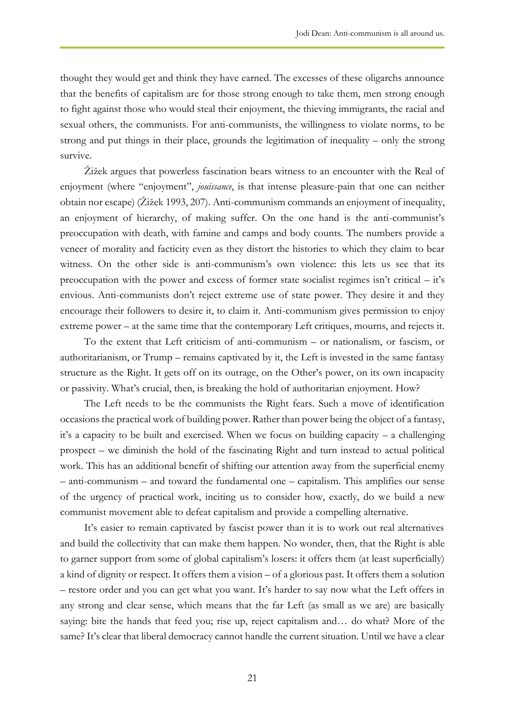thought they would get and think they have earned. The excesses of these oligarchs announce that the benefits of capitalism are for those strong enough to take them, men strong enough to fight against those who would steal their enjoyment, the thieving immigrants, the racial and sexual others, the communists. For anti-communists, the willingness to violate norms, to be strong and put things in their place, grounds the legitimation of inequality – only the strong survive.

Žižek argues that powerless fascination bears witness to an encounter with the Real of enjoyment (where "enjoyment", *jouissance*, is that intense pleasure-pain that one can neither obtain nor escape) (Žižek 1993, 207). Anti-communism commands an enjoyment of inequality, an enjoyment of hierarchy, of making suffer. On the one hand is the anti-communist's preoccupation with death, with famine and camps and body counts. The numbers provide a veneer of morality and facticity even as they distort the histories to which they claim to bear witness. On the other side is anti-communism's own violence: this lets us see that its preoccupation with the power and excess of former state socialist regimes isn't critical – it's envious. Anti-communists don't reject extreme use of state power. They desire it and they encourage their followers to desire it, to claim it. Anti-communism gives permission to enjoy extreme power – at the same time that the contemporary Left critiques, mourns, and rejects it.

To the extent that Left criticism of anti-communism – or nationalism, or fascism, or authoritarianism, or Trump – remains captivated by it, the Left is invested in the same fantasy structure as the Right. It gets off on its outrage, on the Other's power, on its own incapacity or passivity. What's crucial, then, is breaking the hold of authoritarian enjoyment. How?

The Left needs to be the communists the Right fears. Such a move of identification occasions the practical work of building power. Rather than power being the object of a fantasy, it's a capacity to be built and exercised. When we focus on building capacity – a challenging prospect – we diminish the hold of the fascinating Right and turn instead to actual political work. This has an additional benefit of shifting our attention away from the superficial enemy – anti-communism – and toward the fundamental one – capitalism. This amplifies our sense of the urgency of practical work, inciting us to consider how, exactly, do we build a new communist movement able to defeat capitalism and provide a compelling alternative.

It's easier to remain captivated by fascist power than it is to work out real alternatives and build the collectivity that can make them happen. No wonder, then, that the Right is able to garner support from some of global capitalism's losers: it offers them (at least superficially) a kind of dignity or respect. It offers them a vision – of a glorious past. It offers them a solution – restore order and you can get what you want. It's harder to say now what the Left offers in any strong and clear sense, which means that the far Left (as small as we are) are basically saying: bite the hands that feed you; rise up, reject capitalism and… do what? More of the same? It's clear that liberal democracy cannot handle the current situation. Until we have a clear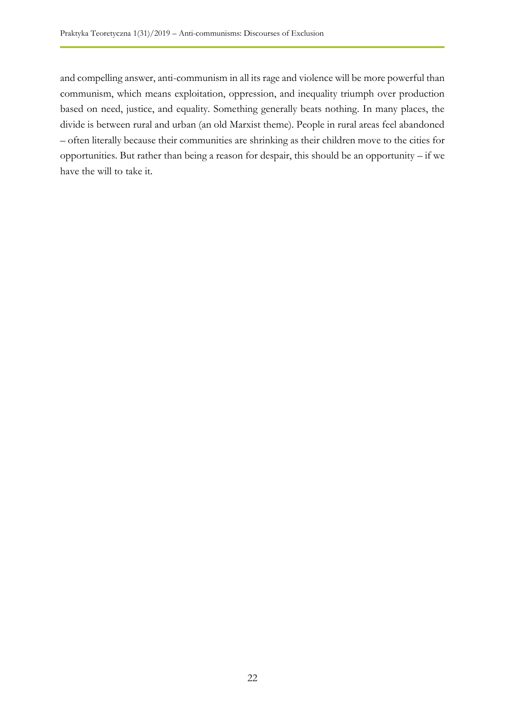and compelling answer, anti-communism in all its rage and violence will be more powerful than communism, which means exploitation, oppression, and inequality triumph over production based on need, justice, and equality. Something generally beats nothing. In many places, the divide is between rural and urban (an old Marxist theme). People in rural areas feel abandoned – often literally because their communities are shrinking as their children move to the cities for opportunities. But rather than being a reason for despair, this should be an opportunity – if we have the will to take it.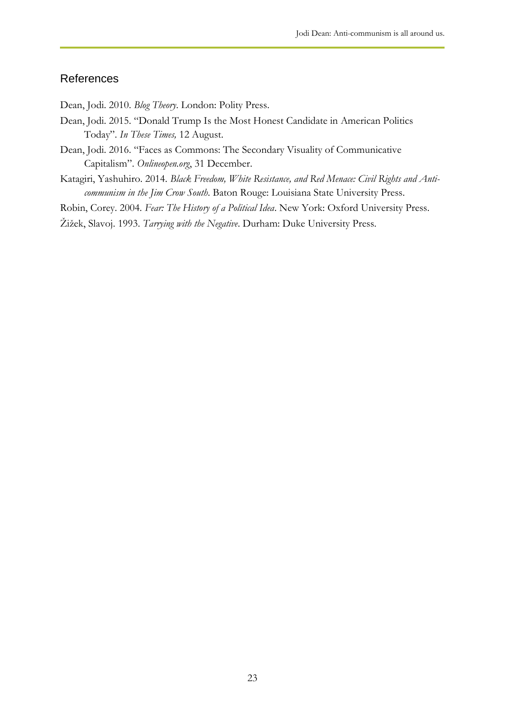### References

Dean, Jodi. 2010. *Blog Theory*. London: Polity Press.

- Dean, Jodi. 2015. "Donald Trump Is the Most Honest Candidate in American Politics Today". *In These Times,* 12 August.
- Dean, Jodi. 2016. "Faces as Commons: The Secondary Visuality of Communicative Capitalism". *Onlineopen.org*, 31 December.
- Katagiri, Yashuhiro. 2014. *Black Freedom, White Resistance, and Red Menace: Civil Rights and Anticommunism in the Jim Crow South*. Baton Rouge: Louisiana State University Press.
- Robin, Corey. 2004. *Fear: The History of a Political Idea*. New York: Oxford University Press.

Žižek, Slavoj. 1993. *Tarrying with the Negative*. Durham: Duke University Press.